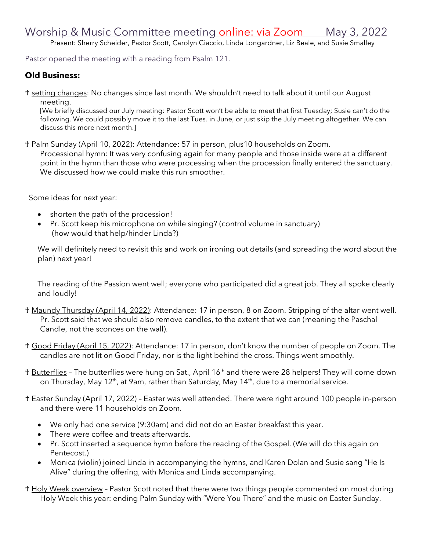Present: Sherry Scheider, Pastor Scott, Carolyn Ciaccio, Linda Longardner, Liz Beale, and Susie Smalley

Pastor opened the meeting with a reading from Psalm 121.

## **Old Business:**

♰ setting changes: No changes since last month. We shouldn't need to talk about it until our August meeting.

[We briefly discussed our July meeting: Pastor Scott won't be able to meet that first Tuesday; Susie can't do the following. We could possibly move it to the last Tues. in June, or just skip the July meeting altogether. We can discuss this more next month.]

♰ Palm Sunday (April 10, 2022): Attendance: 57 in person, plus10 households on Zoom.

Processional hymn: It was very confusing again for many people and those inside were at a different point in the hymn than those who were processing when the procession finally entered the sanctuary. We discussed how we could make this run smoother.

Some ideas for next year:

- shorten the path of the procession!
- Pr. Scott keep his microphone on while singing? (control volume in sanctuary) (how would that help/hinder Linda?)

We will definitely need to revisit this and work on ironing out details (and spreading the word about the plan) next year!

The reading of the Passion went well; everyone who participated did a great job. They all spoke clearly and loudly!

- ♰ Maundy Thursday (April 14, 2022): Attendance: 17 in person, 8 on Zoom. Stripping of the altar went well. Pr. Scott said that we should also remove candles, to the extent that we can (meaning the Paschal Candle, not the sconces on the wall).
- ♰ Good Friday (April 15, 2022): Attendance: 17 in person, don't know the number of people on Zoom. The candles are not lit on Good Friday, nor is the light behind the cross. Things went smoothly.
- ♰ Butterflies The butterflies were hung on Sat., April 16th and there were 28 helpers! They will come down on Thursday, May 12<sup>th</sup>, at 9am, rather than Saturday, May 14<sup>th</sup>, due to a memorial service.
- ♰ Easter Sunday (April 17, 2022) Easter was well attended. There were right around 100 people in-person and there were 11 households on Zoom.
	- We only had one service (9:30am) and did not do an Easter breakfast this year.
	- There were coffee and treats afterwards.
	- Pr. Scott inserted a sequence hymn before the reading of the Gospel. (We will do this again on Pentecost.)
	- Monica (violin) joined Linda in accompanying the hymns, and Karen Dolan and Susie sang "He Is Alive" during the offering, with Monica and Linda accompanying.
- ♰ Holy Week overview Pastor Scott noted that there were two things people commented on most during Holy Week this year: ending Palm Sunday with "Were You There" and the music on Easter Sunday.